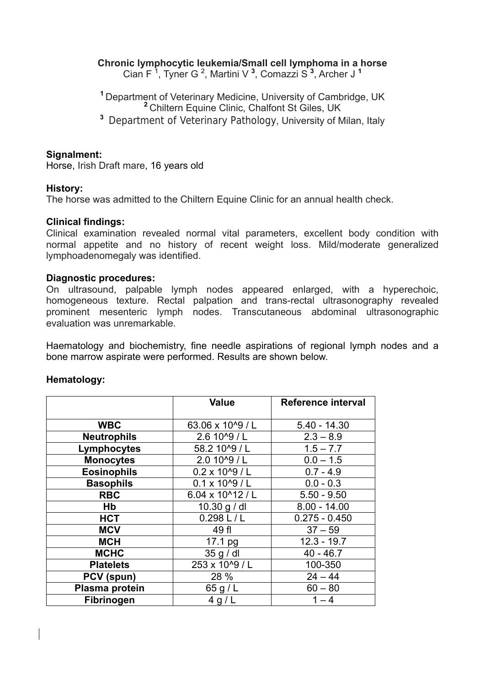## **Chronic lymphocytic leukemia/Small cell lymphoma in a horse**

Cian F <sup>1</sup> , Tyner G 2 , Martini V **<sup>3</sup>** , Comazzi S **<sup>3</sup>** , Archer J **<sup>1</sup>**

**<sup>1</sup>**Department of Veterinary Medicine, University of Cambridge, UK **<sup>2</sup>**Chiltern Equine Clinic, Chalfont St Giles, UK **<sup>3</sup>**Department of Veterinary Pathology, University of Milan, Italy

### **Signalment:**

Horse, Irish Draft mare, 16 years old

### **History:**

The horse was admitted to the Chiltern Equine Clinic for an annual health check.

### **Clinical findings:**

Clinical examination revealed normal vital parameters, excellent body condition with normal appetite and no history of recent weight loss. Mild/moderate generalized lymphoadenomegaly was identified.

#### **Diagnostic procedures:**

On ultrasound, palpable lymph nodes appeared enlarged, with a hyperechoic, homogeneous texture. Rectal palpation and trans-rectal ultrasonography revealed prominent mesenteric lymph nodes. Transcutaneous abdominal ultrasonographic evaluation was unremarkable.

Haematology and biochemistry, fine needle aspirations of regional lymph nodes and a bone marrow aspirate were performed. Results are shown below.

|                    | <b>Value</b>             | <b>Reference interval</b> |
|--------------------|--------------------------|---------------------------|
|                    |                          |                           |
| <b>WBC</b>         | 63.06 x 10^9 / L         | $5.40 - 14.30$            |
| <b>Neutrophils</b> | 2.6 10^9 / L             | $2.3 - 8.9$               |
| Lymphocytes        | 58.2 10^9 / L            | $1.5 - 7.7$               |
| <b>Monocytes</b>   | 2.0 10^9 / L             | $0.0 - 1.5$               |
| <b>Eosinophils</b> | $0.2 \times 10^{4}9$ / L | $0.7 - 4.9$               |
| <b>Basophils</b>   | $0.1 \times 10^{6}$ / L  | $0.0 - 0.3$               |
| <b>RBC</b>         | 6.04 x 10^12 / L         | $5.50 - 9.50$             |
| Hb                 | 10.30 g / dl             | $8.00 - 14.00$            |
| <b>HCT</b>         | 0.298 L/L                | $0.275 - 0.450$           |
| <b>MCV</b>         | 49 fl                    | $37 - 59$                 |
| <b>MCH</b>         | 17.1 pg                  | $12.3 - 19.7$             |
| <b>MCHC</b>        | 35 g / dl                | $40 - 46.7$               |
| <b>Platelets</b>   | 253 x 10^9 / L           | 100-350                   |
| PCV (spun)         | 28 %                     | $24 - 44$                 |
| Plasma protein     | 65 g / L                 | $60 - 80$                 |
| Fibrinogen         | 4 g/L                    | $1 - 4$                   |

### **Hematology:**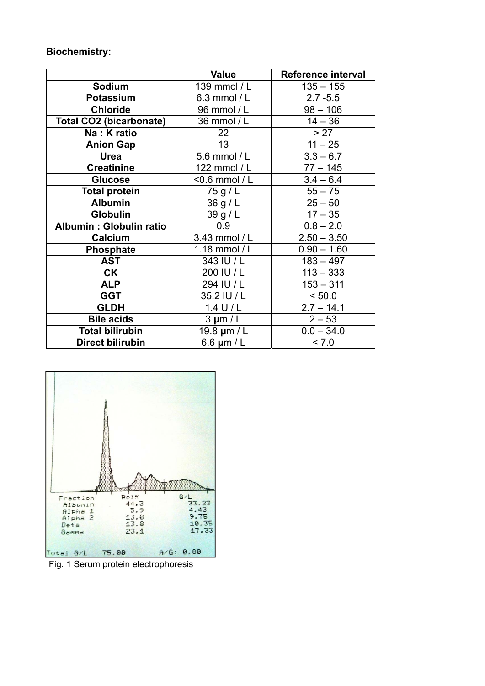# **Biochemistry:**

|                                | <b>Value</b>    | Reference interval |
|--------------------------------|-----------------|--------------------|
| <b>Sodium</b>                  | 139 mmol / L    | $135 - 155$        |
| <b>Potassium</b>               | 6.3 mmol / L    | $2.7 - 5.5$        |
| <b>Chloride</b>                | 96 mmol / L     | $98 - 106$         |
| <b>Total CO2 (bicarbonate)</b> | 36 mmol / L     | $14 - 36$          |
| Na: K ratio                    | 22              | > 27               |
| <b>Anion Gap</b>               | 13              | $11 - 25$          |
| Urea                           | 5.6 mmol / L    | $3.3 - 6.7$        |
| <b>Creatinine</b>              | 122 mmol / L    | $77 - 145$         |
| <b>Glucose</b>                 | <0.6 mmol / L   | $3.4 - 6.4$        |
| <b>Total protein</b>           | 75 g / L        | $55 - 75$          |
| <b>Albumin</b>                 | 36 g/L          | $25 - 50$          |
| <b>Globulin</b>                | 39g/L           | $17 - 35$          |
| Albumin: Globulin ratio        | 0.9             | $0.8 - 2.0$        |
| Calcium                        | 3.43 mmol / L   | $2.50 - 3.50$      |
| Phosphate                      | 1.18 mmol / L   | $0.90 - 1.60$      |
| <b>AST</b>                     | 343 IU / L      | $183 - 497$        |
| <b>CK</b>                      | 200 IU / L      | $113 - 333$        |
| <b>ALP</b>                     | 294 IU / L      | $153 - 311$        |
| <b>GGT</b>                     | 35.2 IU / L     | < 50.0             |
| <b>GLDH</b>                    | $1.4$ U/L       | $2.7 - 14.1$       |
| <b>Bile acids</b>              | $3 \mu m/L$     | $2 - 53$           |
| <b>Total bilirubin</b>         | 19.8 um / L     | $0.0 - 34.0$       |
| Direct bilirubin               | 6.6 $\mu$ m / L | < 7.0              |



Fig. 1 Serum protein electrophoresis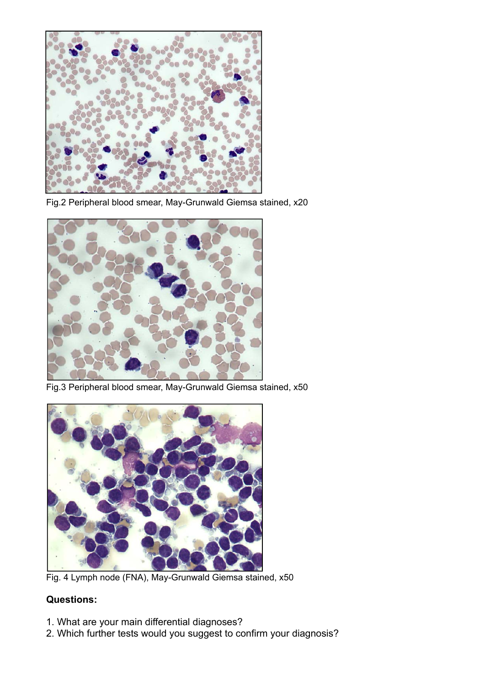

Fig.2 Peripheral blood smear, May-Grunwald Giemsa stained, x20



Fig.3 Peripheral blood smear, May-Grunwald Giemsa stained, x50



Fig. 4 Lymph node (FNA), May-Grunwald Giemsa stained, x50

## **Questions:**

- 1. What are your main differential diagnoses?
- 2. Which further tests would you suggest to confirm your diagnosis?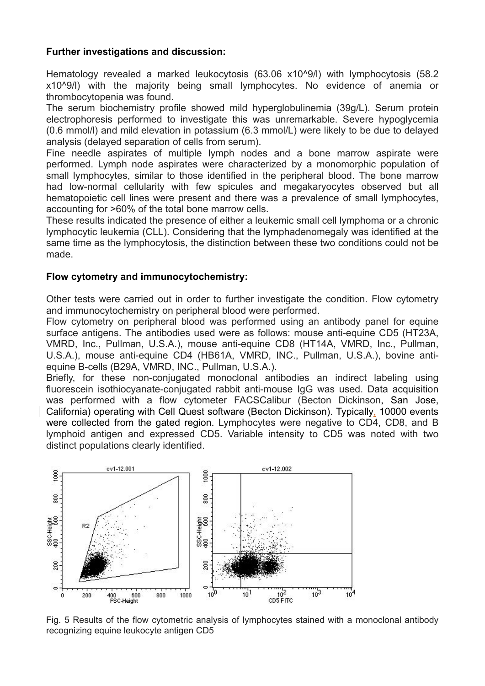## **Further investigations and discussion:**

Hematology revealed a marked leukocytosis (63.06 x10^9/l) with lymphocytosis (58.2 x10^9/l) with the majority being small lymphocytes. No evidence of anemia or thrombocytopenia was found.

The serum biochemistry profile showed mild hyperglobulinemia (39g/L). Serum protein electrophoresis performed to investigate this was unremarkable. Severe hypoglycemia (0.6 mmol/l) and mild elevation in potassium (6.3 mmol/L) were likely to be due to delayed analysis (delayed separation of cells from serum).

Fine needle aspirates of multiple lymph nodes and a bone marrow aspirate were performed. Lymph node aspirates were characterized by a monomorphic population of small lymphocytes, similar to those identified in the peripheral blood. The bone marrow had low-normal cellularity with few spicules and megakaryocytes observed but all hematopoietic cell lines were present and there was a prevalence of small lymphocytes, accounting for >60% of the total bone marrow cells.

These results indicated the presence of either a leukemic small cell lymphoma or a chronic lymphocytic leukemia (CLL). Considering that the lymphadenomegaly was identified at the same time as the lymphocytosis, the distinction between these two conditions could not be made.

## **Flow cytometry and immunocytochemistry:**

Other tests were carried out in order to further investigate the condition. Flow cytometry and immunocytochemistry on peripheral blood were performed.

Flow cytometry on peripheral blood was performed using an antibody panel for equine surface antigens. The antibodies used were as follows: mouse anti-equine CD5 (HT23A, VMRD, Inc., Pullman, U.S.A.), mouse anti-equine CD8 (HT14A, VMRD, Inc., Pullman, U.S.A.), mouse anti-equine CD4 (HB61A, VMRD, INC., Pullman, U.S.A.), bovine antiequine B-cells (B29A, VMRD, INC., Pullman, U.S.A.).

Briefly, for these non-conjugated monoclonal antibodies an indirect labeling using fluorescein isothiocyanate-conjugated rabbit anti-mouse IgG was used. Data acquisition was performed with a flow cytometer FACSCalibur (Becton Dickinson, San Jose, California) operating with Cell Quest software (Becton Dickinson). Typically, 10000 events were collected from the gated region. Lymphocytes were negative to CD4, CD8, and B lymphoid antigen and expressed CD5. Variable intensity to CD5 was noted with two distinct populations clearly identified.



Fig. 5 Results of the flow cytometric analysis of lymphocytes stained with a monoclonal antibody recognizing equine leukocyte antigen CD5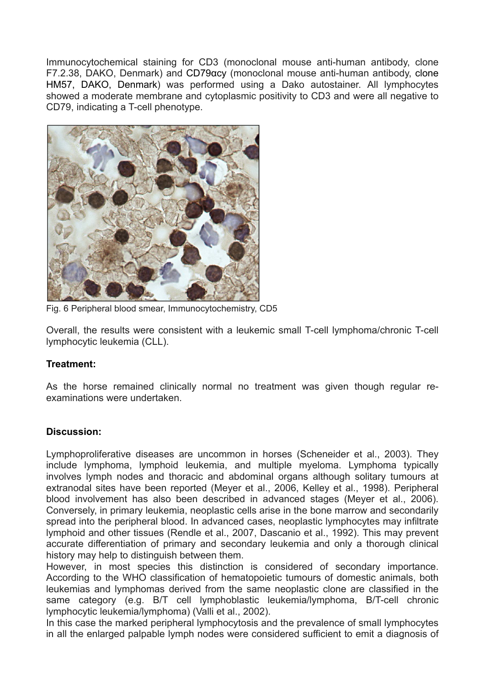Immunocytochemical staining for CD3 (monoclonal mouse anti-human antibody, clone F7.2.38, DAKO, Denmark) and CD79αcy (monoclonal mouse anti-human antibody, clone HM57, DAKO, Denmark) was performed using a Dako autostainer. All lymphocytes showed a moderate membrane and cytoplasmic positivity to CD3 and were all negative to CD79, indicating a T-cell phenotype.



Fig. 6 Peripheral blood smear, Immunocytochemistry, CD5

Overall, the results were consistent with a leukemic small T-cell lymphoma/chronic T-cell lymphocytic leukemia (CLL).

## **Treatment:**

As the horse remained clinically normal no treatment was given though regular reexaminations were undertaken.

## **Discussion:**

Lymphoproliferative diseases are uncommon in horses (Scheneider et al., 2003). They include lymphoma, lymphoid leukemia, and multiple myeloma. Lymphoma typically involves lymph nodes and thoracic and abdominal organs although solitary tumours at extranodal sites have been reported (Meyer et al., 2006, Kelley et al., 1998). Peripheral blood involvement has also been described in advanced stages (Meyer et al., 2006). Conversely, in primary leukemia, neoplastic cells arise in the bone marrow and secondarily spread into the peripheral blood. In advanced cases, neoplastic lymphocytes may infiltrate lymphoid and other tissues (Rendle et al., 2007, Dascanio et al., 1992). This may prevent accurate differentiation of primary and secondary leukemia and only a thorough clinical history may help to distinguish between them.

However, in most species this distinction is considered of secondary importance. According to the WHO classification of hematopoietic tumours of domestic animals, both leukemias and lymphomas derived from the same neoplastic clone are classified in the same category (e.g. B/T cell lymphoblastic leukemia/lymphoma, B/T-cell chronic lymphocytic leukemia/lymphoma) (Valli et al., 2002).

In this case the marked peripheral lymphocytosis and the prevalence of small lymphocytes in all the enlarged palpable lymph nodes were considered sufficient to emit a diagnosis of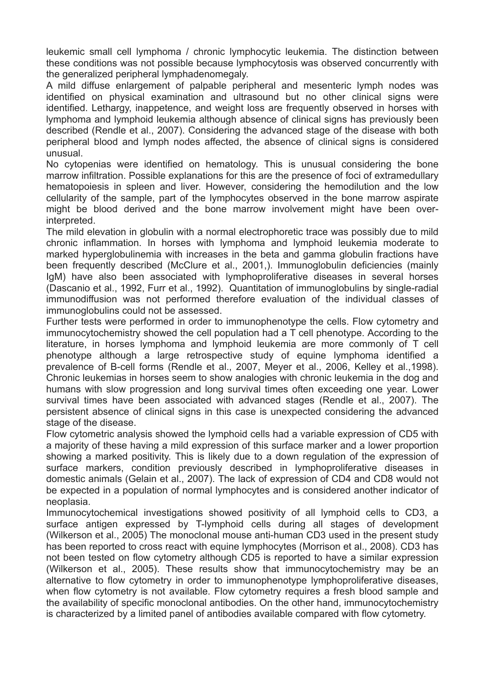leukemic small cell lymphoma / chronic lymphocytic leukemia. The distinction between these conditions was not possible because lymphocytosis was observed concurrently with the generalized peripheral lymphadenomegaly.

A mild diffuse enlargement of palpable peripheral and mesenteric lymph nodes was identified on physical examination and ultrasound but no other clinical signs were identified. Lethargy, inappetence, and weight loss are frequently observed in horses with lymphoma and lymphoid leukemia although absence of clinical signs has previously been described (Rendle et al., 2007). Considering the advanced stage of the disease with both peripheral blood and lymph nodes affected, the absence of clinical signs is considered unusual.

No cytopenias were identified on hematology. This is unusual considering the bone marrow infiltration. Possible explanations for this are the presence of foci of extramedullary hematopoiesis in spleen and liver. However, considering the hemodilution and the low cellularity of the sample, part of the lymphocytes observed in the bone marrow aspirate might be blood derived and the bone marrow involvement might have been overinterpreted.

The mild elevation in globulin with a normal electrophoretic trace was possibly due to mild chronic inflammation. In horses with lymphoma and lymphoid leukemia moderate to marked hyperglobulinemia with increases in the beta and gamma globulin fractions have been frequently described (McClure et al., 2001,). Immunoglobulin deficiencies (mainly IgM) have also been associated with lymphoproliferative diseases in several horses (Dascanio et al., 1992, Furr et al., 1992). Quantitation of immunoglobulins by single-radial immunodiffusion was not performed therefore evaluation of the individual classes of immunoglobulins could not be assessed.

Further tests were performed in order to immunophenotype the cells. Flow cytometry and immunocytochemistry showed the cell population had a T cell phenotype. According to the literature, in horses lymphoma and lymphoid leukemia are more commonly of T cell phenotype although a large retrospective study of equine lymphoma identified a prevalence of B-cell forms (Rendle et al., 2007, Meyer et al., 2006, Kelley et al.,1998). Chronic leukemias in horses seem to show analogies with chronic leukemia in the dog and humans with slow progression and long survival times often exceeding one year. Lower survival times have been associated with advanced stages (Rendle et al., 2007). The persistent absence of clinical signs in this case is unexpected considering the advanced stage of the disease.

Flow cytometric analysis showed the lymphoid cells had a variable expression of CD5 with a majority of these having a mild expression of this surface marker and a lower proportion showing a marked positivity. This is likely due to a down regulation of the expression of surface markers, condition previously described in lymphoproliferative diseases in domestic animals (Gelain et al., 2007). The lack of expression of CD4 and CD8 would not be expected in a population of normal lymphocytes and is considered another indicator of neoplasia.

Immunocytochemical investigations showed positivity of all lymphoid cells to CD3, a surface antigen expressed by T-lymphoid cells during all stages of development (Wilkerson et al., 2005) The monoclonal mouse anti-human CD3 used in the present study has been reported to cross react with equine lymphocytes (Morrison et al., 2008). CD3 has not been tested on flow cytometry although CD5 is reported to have a similar expression (Wilkerson et al., 2005). These results show that immunocytochemistry may be an alternative to flow cytometry in order to immunophenotype lymphoproliferative diseases, when flow cytometry is not available. Flow cytometry requires a fresh blood sample and the availability of specific monoclonal antibodies. On the other hand, immunocytochemistry is characterized by a limited panel of antibodies available compared with flow cytometry.